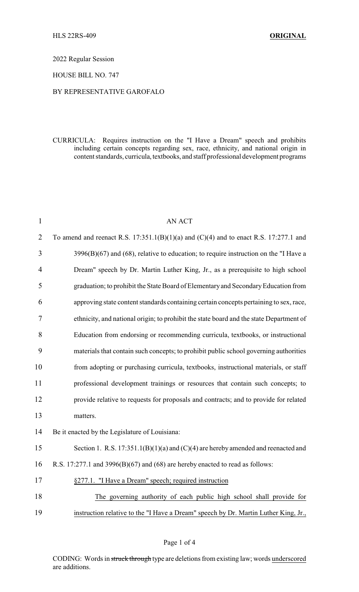#### 2022 Regular Session

## HOUSE BILL NO. 747

## BY REPRESENTATIVE GAROFALO

## CURRICULA: Requires instruction on the "I Have a Dream" speech and prohibits including certain concepts regarding sex, race, ethnicity, and national origin in content standards, curricula, textbooks, and staff professional development programs

| $\mathbf{1}$   | <b>AN ACT</b>                                                                             |
|----------------|-------------------------------------------------------------------------------------------|
| $\overline{2}$ | To amend and reenact R.S. $17:351.1(B)(1)(a)$ and $(C)(4)$ and to enact R.S. 17:277.1 and |
| 3              | $3996(B)(67)$ and $(68)$ , relative to education; to require instruction on the "I Have a |
| 4              | Dream" speech by Dr. Martin Luther King, Jr., as a prerequisite to high school            |
| 5              | graduation; to prohibit the State Board of Elementary and Secondary Education from        |
| 6              | approving state content standards containing certain concepts pertaining to sex, race,    |
| 7              | ethnicity, and national origin; to prohibit the state board and the state Department of   |
| 8              | Education from endorsing or recommending curricula, textbooks, or instructional           |
| 9              | materials that contain such concepts; to prohibit public school governing authorities     |
| 10             | from adopting or purchasing curricula, textbooks, instructional materials, or staff       |
| 11             | professional development trainings or resources that contain such concepts; to            |
| 12             | provide relative to requests for proposals and contracts; and to provide for related      |
| 13             | matters.                                                                                  |
| 14             | Be it enacted by the Legislature of Louisiana:                                            |
| 15             | Section 1. R.S. $17:351.1(B)(1)(a)$ and $(C)(4)$ are hereby amended and reenacted and     |
| 16             | R.S. 17:277.1 and 3996(B)(67) and (68) are hereby enacted to read as follows:             |
| 17             | §277.1. "I Have a Dream" speech; required instruction                                     |
| 18             | The governing authority of each public high school shall provide for                      |
| 19             | instruction relative to the "I Have a Dream" speech by Dr. Martin Luther King, Jr.,       |
|                |                                                                                           |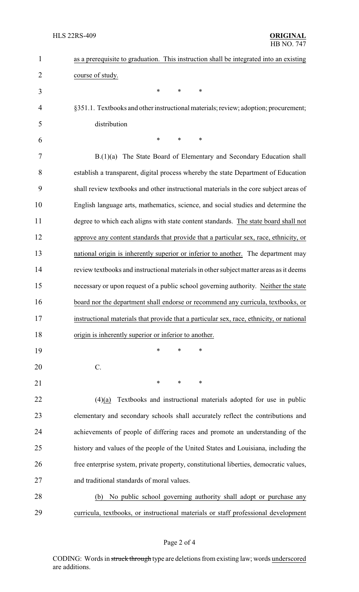| $\mathbf{1}$   | as a prerequisite to graduation. This instruction shall be integrated into an existing   |
|----------------|------------------------------------------------------------------------------------------|
| $\overline{2}$ | course of study.                                                                         |
| 3              | $\ast$<br>*<br>*                                                                         |
| 4              | §351.1. Textbooks and other instructional materials; review; adoption; procurement;      |
| 5              | distribution                                                                             |
| 6              | $\ast$<br>*<br>*                                                                         |
| 7              | B.(1)(a) The State Board of Elementary and Secondary Education shall                     |
| 8              | establish a transparent, digital process whereby the state Department of Education       |
| 9              | shall review textbooks and other instructional materials in the core subject areas of    |
| 10             | English language arts, mathematics, science, and social studies and determine the        |
| 11             | degree to which each aligns with state content standards. The state board shall not      |
| 12             | approve any content standards that provide that a particular sex, race, ethnicity, or    |
| 13             | national origin is inherently superior or inferior to another. The department may        |
| 14             | review textbooks and instructional materials in other subject matter areas as it deems   |
| 15             | necessary or upon request of a public school governing authority. Neither the state      |
| 16             | board nor the department shall endorse or recommend any curricula, textbooks, or         |
| 17             | instructional materials that provide that a particular sex, race, ethnicity, or national |
| 18             | origin is inherently superior or inferior to another.                                    |
| 19             | $\ast$<br>∗<br>∗                                                                         |
| 20             | $C$ .                                                                                    |
| 21             | ∗<br>∗<br>∗                                                                              |
| 22             | Textbooks and instructional materials adopted for use in public<br>(4)(a)                |
| 23             | elementary and secondary schools shall accurately reflect the contributions and          |
| 24             | achievements of people of differing races and promote an understanding of the            |
| 25             | history and values of the people of the United States and Louisiana, including the       |
| 26             | free enterprise system, private property, constitutional liberties, democratic values,   |
| 27             | and traditional standards of moral values.                                               |
| 28             | No public school governing authority shall adopt or purchase any<br>(b)                  |
| 29             | curricula, textbooks, or instructional materials or staff professional development       |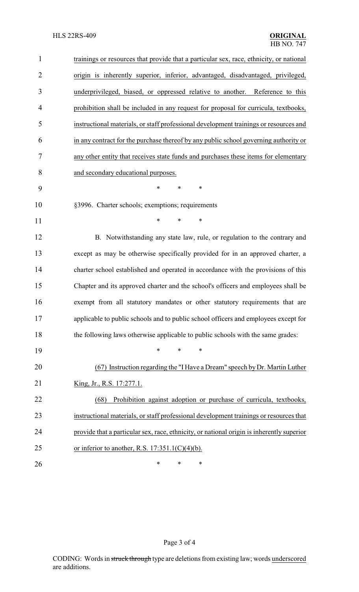| $\mathbf{1}$   | trainings or resources that provide that a particular sex, race, ethnicity, or national   |
|----------------|-------------------------------------------------------------------------------------------|
| $\overline{2}$ | origin is inherently superior, inferior, advantaged, disadvantaged, privileged,           |
| 3              | underprivileged, biased, or oppressed relative to another. Reference to this              |
| 4              | prohibition shall be included in any request for proposal for curricula, textbooks,       |
| 5              | instructional materials, or staff professional development trainings or resources and     |
| 6              | in any contract for the purchase thereof by any public school governing authority or      |
| 7              | any other entity that receives state funds and purchases these items for elementary       |
| 8              | and secondary educational purposes.                                                       |
| 9              | $\ast$<br>*<br>∗                                                                          |
| 10             | §3996. Charter schools; exemptions; requirements                                          |
| 11             | $\ast$<br>$\ast$<br>$\ast$                                                                |
| 12             | B. Notwithstanding any state law, rule, or regulation to the contrary and                 |
| 13             | except as may be otherwise specifically provided for in an approved charter, a            |
| 14             | charter school established and operated in accordance with the provisions of this         |
| 15             | Chapter and its approved charter and the school's officers and employees shall be         |
| 16             | exempt from all statutory mandates or other statutory requirements that are               |
| 17             | applicable to public schools and to public school officers and employees except for       |
| 18             | the following laws otherwise applicable to public schools with the same grades:           |
| 19             | $\ast$<br>*<br>*                                                                          |
| 20             | (67) Instruction regarding the "I Have a Dream" speech by Dr. Martin Luther               |
| 21             | King, Jr., R.S. 17:277.1.                                                                 |
| 22             | Prohibition against adoption or purchase of curricula, textbooks,<br>(68)                 |
| 23             | instructional materials, or staff professional development trainings or resources that    |
| 24             | provide that a particular sex, race, ethnicity, or national origin is inherently superior |
| 25             | or inferior to another, R.S. $17:351.1(C)(4)(b)$ .                                        |
| 26             | ∗<br>∗<br>∗                                                                               |